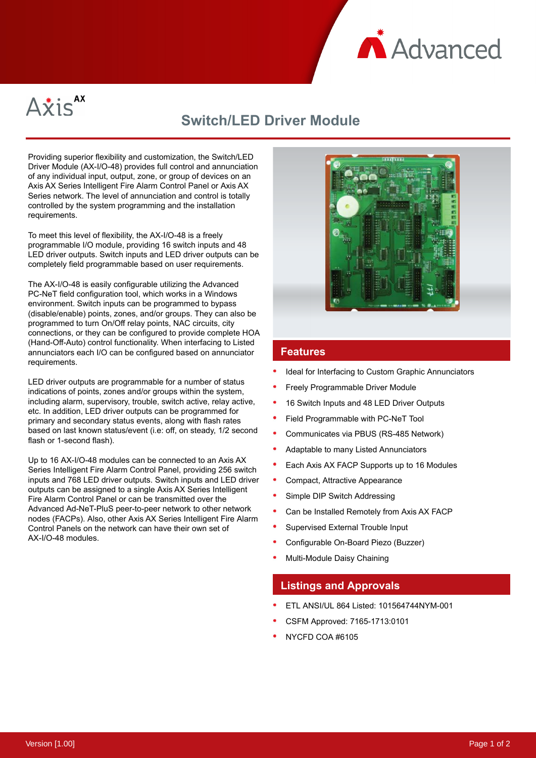



# **Switch/LED Driver Module**

Providing superior flexibility and customization, the Switch/LED Driver Module (AX-I/O-48) provides full control and annunciation of any individual input, output, zone, or group of devices on an Axis AX Series Intelligent Fire Alarm Control Panel or Axis AX Series network. The level of annunciation and control is totally controlled by the system programming and the installation requirements.

To meet this level of flexibility, the AX-I/O-48 is a freely programmable I/O module, providing 16 switch inputs and 48 LED driver outputs. Switch inputs and LED driver outputs can be completely field programmable based on user requirements.

The AX-I/O-48 is easily configurable utilizing the Advanced PC-NeT field configuration tool, which works in a Windows environment. Switch inputs can be programmed to bypass (disable/enable) points, zones, and/or groups. They can also be programmed to turn On/Off relay points, NAC circuits, city connections, or they can be configured to provide complete HOA (Hand-Off-Auto) control functionality. When interfacing to Listed annunciators each I/O can be configured based on annunciator requirements.

LED driver outputs are programmable for a number of status indications of points, zones and/or groups within the system, including alarm, supervisory, trouble, switch active, relay active, etc. In addition, LED driver outputs can be programmed for primary and secondary status events, along with flash rates based on last known status/event (i.e: off, on steady, 1/2 second flash or 1-second flash).

Up to 16 AX-I/O-48 modules can be connected to an Axis AX Series Intelligent Fire Alarm Control Panel, providing 256 switch inputs and 768 LED driver outputs. Switch inputs and LED driver outputs can be assigned to a single Axis AX Series Intelligent Fire Alarm Control Panel or can be transmitted over the Advanced Ad-NeT-PluS peer-to-peer network to other network nodes (FACPs). Also, other Axis AX Series Intelligent Fire Alarm Control Panels on the network can have their own set of AX-I/O-48 modules.



#### **Features**

- Ideal for Interfacing to Custom Graphic Annunciators
- Freely Programmable Driver Module
- 16 Switch Inputs and 48 LED Driver Outputs
- Field Programmable with PC-NeT Tool
- Communicates via PBUS (RS-485 Network)
- Adaptable to many Listed Annunciators
- Each Axis AX FACP Supports up to 16 Modules
- Compact, Attractive Appearance
- Simple DIP Switch Addressing
- Can be Installed Remotely from Axis AX FACP
- Supervised External Trouble Input
- Configurable On-Board Piezo (Buzzer)
- Multi-Module Daisy Chaining

#### **Listings and Approvals**

- ETL ANSI/UL 864 Listed: 101564744NYM-001
- CSFM Approved: 7165-1713:0101
- NYCFD COA #6105